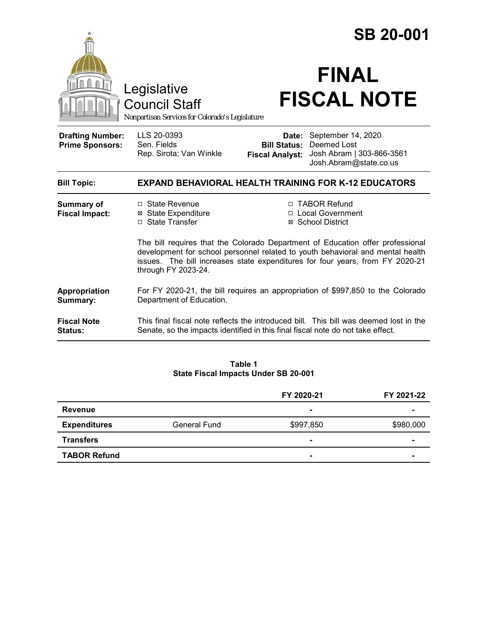|                                                   |                                                                                                                                                                                                                                                                          | <b>SB 20-001</b>                                       |                                                                                          |  |
|---------------------------------------------------|--------------------------------------------------------------------------------------------------------------------------------------------------------------------------------------------------------------------------------------------------------------------------|--------------------------------------------------------|------------------------------------------------------------------------------------------|--|
|                                                   | Legislative<br>Council Staff<br>Nonpartisan Services for Colorado's Legislature                                                                                                                                                                                          |                                                        | <b>FINAL</b><br><b>FISCAL NOTE</b>                                                       |  |
| <b>Drafting Number:</b><br><b>Prime Sponsors:</b> | LLS 20-0393<br>Sen. Fields<br>Rep. Sirota; Van Winkle                                                                                                                                                                                                                    | Date:<br><b>Bill Status:</b><br><b>Fiscal Analyst:</b> | September 14, 2020<br>Deemed Lost<br>Josh Abram   303-866-3561<br>Josh.Abram@state.co.us |  |
| <b>Bill Topic:</b>                                |                                                                                                                                                                                                                                                                          |                                                        | <b>EXPAND BEHAVIORAL HEALTH TRAINING FOR K-12 EDUCATORS</b>                              |  |
| <b>Summary of</b><br><b>Fiscal Impact:</b>        | □ State Revenue<br><b>⊠</b> State Expenditure<br>□ State Transfer                                                                                                                                                                                                        |                                                        | □ TABOR Refund<br>□ Local Government<br>⊠ School District                                |  |
|                                                   | The bill requires that the Colorado Department of Education offer professional<br>development for school personnel related to youth behavioral and mental health<br>issues. The bill increases state expenditures for four years, from FY 2020-21<br>through FY 2023-24. |                                                        |                                                                                          |  |
| Appropriation<br>Summary:                         | For FY 2020-21, the bill requires an appropriation of \$997,850 to the Colorado<br>Department of Education.                                                                                                                                                              |                                                        |                                                                                          |  |
| <b>Fiscal Note</b><br>Status:                     | Senate, so the impacts identified in this final fiscal note do not take effect.                                                                                                                                                                                          |                                                        | This final fiscal note reflects the introduced bill. This bill was deemed lost in the    |  |

**Table 1 State Fiscal Impacts Under SB 20-001**

|                     |                     | FY 2020-21     | FY 2021-22               |
|---------------------|---------------------|----------------|--------------------------|
| <b>Revenue</b>      |                     | $\blacksquare$ | ۰                        |
| <b>Expenditures</b> | <b>General Fund</b> | \$997,850      | \$980,000                |
| <b>Transfers</b>    |                     |                | $\overline{\phantom{0}}$ |
| <b>TABOR Refund</b> |                     | $\blacksquare$ | $\blacksquare$           |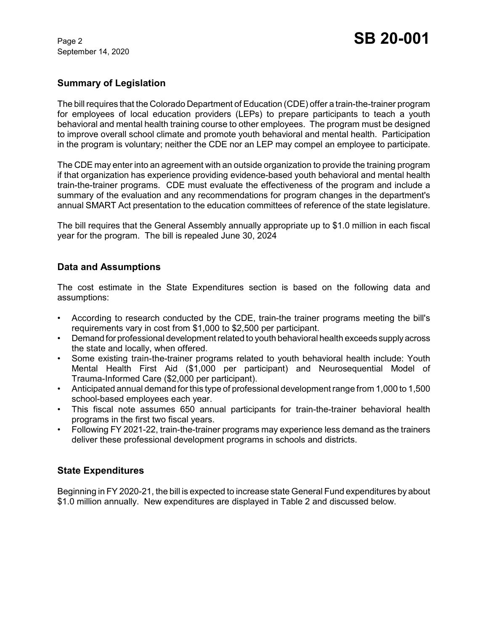September 14, 2020

## **Summary of Legislation**

The bill requires that the Colorado Department of Education (CDE) offer a train-the-trainer program for employees of local education providers (LEPs) to prepare participants to teach a youth behavioral and mental health training course to other employees. The program must be designed to improve overall school climate and promote youth behavioral and mental health. Participation in the program is voluntary; neither the CDE nor an LEP may compel an employee to participate.

The CDE may enter into an agreement with an outside organization to provide the training program if that organization has experience providing evidence-based youth behavioral and mental health train-the-trainer programs. CDE must evaluate the effectiveness of the program and include a summary of the evaluation and any recommendations for program changes in the department's annual SMART Act presentation to the education committees of reference of the state legislature.

The bill requires that the General Assembly annually appropriate up to \$1.0 million in each fiscal year for the program. The bill is repealed June 30, 2024

## **Data and Assumptions**

The cost estimate in the State Expenditures section is based on the following data and assumptions:

- According to research conducted by the CDE, train-the trainer programs meeting the bill's requirements vary in cost from \$1,000 to \$2,500 per participant.
- Demand for professional development related to youth behavioral health exceeds supply across the state and locally, when offered.
- Some existing train-the-trainer programs related to youth behavioral health include: Youth Mental Health First Aid (\$1,000 per participant) and Neurosequential Model of Trauma-Informed Care (\$2,000 per participant).
- Anticipated annual demand for this type of professional development range from 1,000 to 1,500 school-based employees each year.
- This fiscal note assumes 650 annual participants for train-the-trainer behavioral health programs in the first two fiscal years.
- Following FY 2021-22, train-the-trainer programs may experience less demand as the trainers deliver these professional development programs in schools and districts.

#### **State Expenditures**

Beginning in FY 2020-21, the bill is expected to increase state General Fund expenditures by about \$1.0 million annually. New expenditures are displayed in Table 2 and discussed below.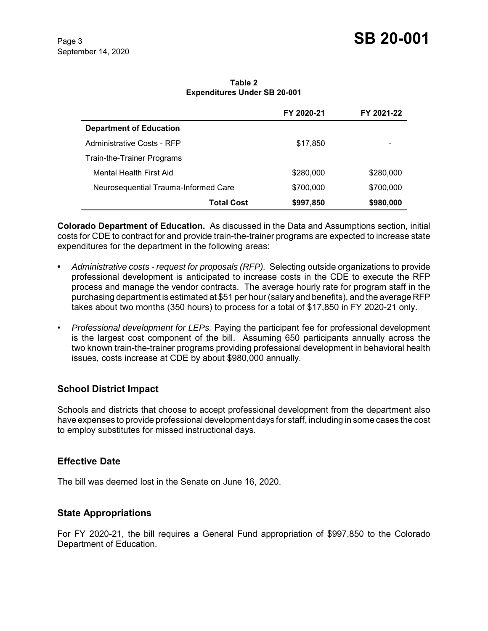**Table 2 Expenditures Under SB 20-001**

|                                      | FY 2020-21 | FY 2021-22 |
|--------------------------------------|------------|------------|
| <b>Department of Education</b>       |            |            |
| Administrative Costs - RFP           | \$17,850   | -          |
| Train-the-Trainer Programs           |            |            |
| Mental Health First Aid              | \$280,000  | \$280,000  |
| Neurosequential Trauma-Informed Care | \$700,000  | \$700,000  |
| Total Cost                           | \$997,850  | \$980,000  |

**Colorado Department of Education.** As discussed in the Data and Assumptions section, initial costs for CDE to contract for and provide train-the-trainer programs are expected to increase state expenditures for the department in the following areas:

- **•** *Administrative costs request for proposals (RFP).* Selecting outside organizations to provide professional development is anticipated to increase costs in the CDE to execute the RFP process and manage the vendor contracts. The average hourly rate for program staff in the purchasing department is estimated at \$51 per hour (salary and benefits), and the average RFP takes about two months (350 hours) to process for a total of \$17,850 in FY 2020-21 only.
- *Professional development for LEPs.* Paying the participant fee for professional development is the largest cost component of the bill. Assuming 650 participants annually across the two known train-the-trainer programs providing professional development in behavioral health issues, costs increase at CDE by about \$980,000 annually.

## **School District Impact**

Schools and districts that choose to accept professional development from the department also have expenses to provide professional development days for staff, including in some cases the cost to employ substitutes for missed instructional days.

#### **Effective Date**

The bill was deemed lost in the Senate on June 16, 2020.

## **State Appropriations**

For FY 2020-21, the bill requires a General Fund appropriation of \$997,850 to the Colorado Department of Education.